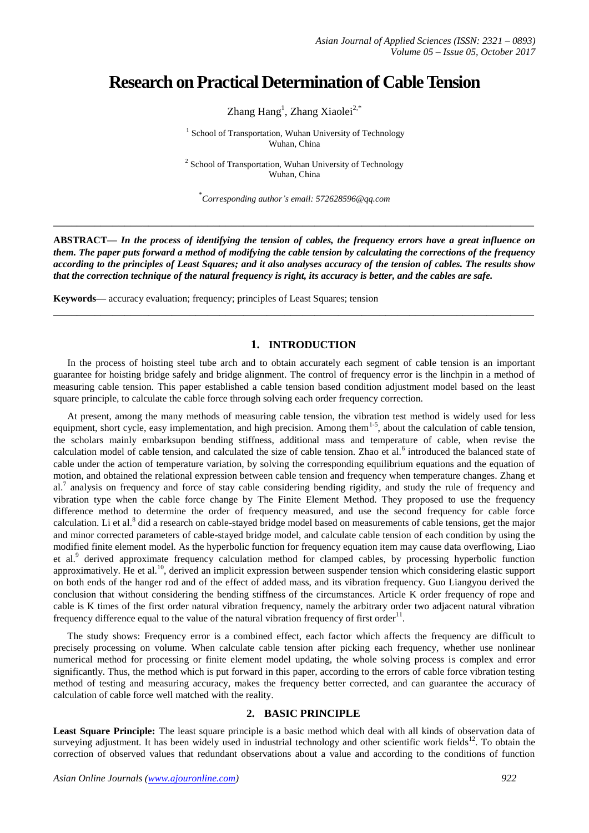# **Research on Practical Determination of Cable Tension**

Zhang Hang<sup>1</sup>, Zhang Xiaolei<sup>2,\*</sup>

<sup>1</sup> School of Transportation, Wuhan University of Technology Wuhan, China

<sup>2</sup> School of Transportation, Wuhan University of Technology Wuhan, China

\* *Corresponding author's email: 572628596@qq.com*

**\_\_\_\_\_\_\_\_\_\_\_\_\_\_\_\_\_\_\_\_\_\_\_\_\_\_\_\_\_\_\_\_\_\_\_\_\_\_\_\_\_\_\_\_\_\_\_\_\_\_\_\_\_\_\_\_\_\_\_\_\_\_\_\_\_\_\_\_\_\_\_\_\_\_\_\_\_\_\_\_\_**

**ABSTRACT—** *In the process of identifying the tension of cables, the frequency errors have a great influence on them. The paper puts forward a method of modifying the cable tension by calculating the corrections of the frequency according to the principles of Least Squares; and it also analyses accuracy of the tension of cables. The results show that the correction technique of the natural frequency is right, its accuracy is better, and the cables are safe.*

**\_\_\_\_\_\_\_\_\_\_\_\_\_\_\_\_\_\_\_\_\_\_\_\_\_\_\_\_\_\_\_\_\_\_\_\_\_\_\_\_\_\_\_\_\_\_\_\_\_\_\_\_\_\_\_\_\_\_\_\_\_\_\_\_\_\_\_\_\_\_\_\_\_\_\_\_\_\_\_\_\_**

**Keywords—** accuracy evaluation; frequency; principles of Least Squares; tension

## **1. INTRODUCTION**

In the process of hoisting steel tube arch and to obtain accurately each segment of cable tension is an important guarantee for hoisting bridge safely and bridge alignment. The control of frequency error is the linchpin in a method of measuring cable tension. This paper established a cable tension based condition adjustment model based on the least square principle, to calculate the cable force through solving each order frequency correction.

At present, among the many methods of measuring cable tension, the vibration test method is widely used for less equipment, short cycle, easy implementation, and high precision. Among them<sup>1-5</sup>, about the calculation of cable tension, the scholars mainly embarksupon bending stiffness, additional mass and temperature of cable, when revise the calculation model of cable tension, and calculated the size of cable tension. Zhao et al.<sup>6</sup> introduced the balanced state of cable under the action of temperature variation, by solving the corresponding equilibrium equations and the equation of motion, and obtained the relational expression between cable tension and frequency when temperature changes. Zhang et al.<sup>7</sup> analysis on frequency and force of stay cable considering bending rigidity, and study the rule of frequency and vibration type when the cable force change by The Finite Element Method. They proposed to use the frequency difference method to determine the order of frequency measured, and use the second frequency for cable force calculation. Li et al.<sup>8</sup> did a research on cable-stayed bridge model based on measurements of cable tensions, get the major and minor corrected parameters of cable-stayed bridge model, and calculate cable tension of each condition by using the modified finite element model. As the hyperbolic function for frequency equation item may cause data overflowing, Liao et al.<sup>9</sup> derived approximate frequency calculation method for clamped cables, by processing hyperbolic function approximatively. He et al.<sup>10</sup>, derived an implicit expression between suspender tension which considering elastic support on both ends of the hanger rod and of the effect of added mass, and its vibration frequency. Guo Liangyou derived the conclusion that without considering the bending stiffness of the circumstances. Article K order frequency of rope and cable is K times of the first order natural vibration frequency, namely the arbitrary order two adjacent natural vibration frequency difference equal to the value of the natural vibration frequency of first order<sup>11</sup>.

The study shows: Frequency error is a combined effect, each factor which affects the frequency are difficult to precisely processing on volume. When calculate cable tension after picking each frequency, whether use nonlinear numerical method for processing or finite element model updating, the whole solving process is complex and error significantly. Thus, the method which is put forward in this paper, according to the errors of cable force vibration testing method of testing and measuring accuracy, makes the frequency better corrected, and can guarantee the accuracy of calculation of cable force well matched with the reality.

#### **2. BASIC PRINCIPLE**

Least Square Principle: The least square principle is a basic method which deal with all kinds of observation data of surveying adjustment. It has been widely used in industrial technology and other scientific work fields $12$ . To obtain the correction of observed values that redundant observations about a value and according to the conditions of function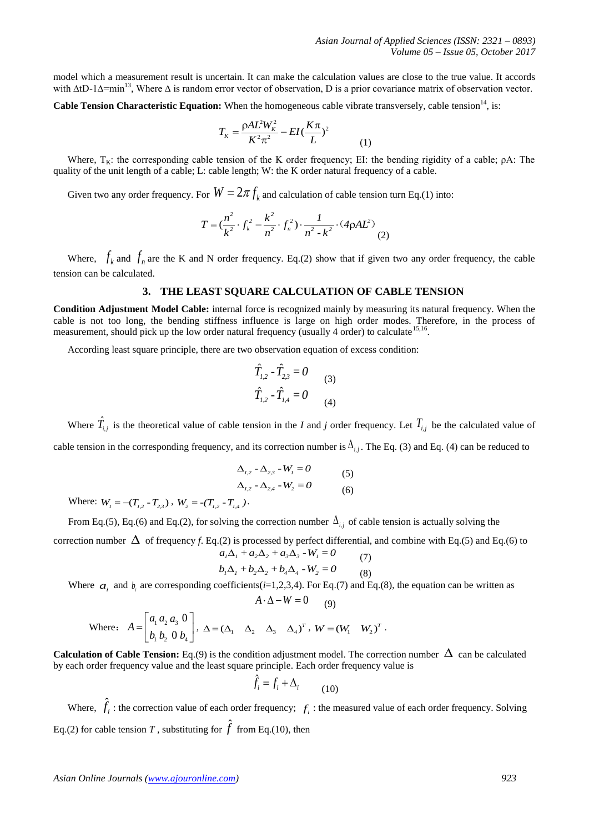model which a measurement result is uncertain. It can make the calculation values are close to the true value. It accords with ∆tD-1∆=min<sup>13</sup>, Where ∆ is random error vector of observation, D is a prior covariance matrix of observation vector.

Cable Tension Characteristic Equation: When the homogeneous cable vibrate transversely, cable tension<sup>14</sup>, is:

$$
T_K = \frac{\rho A L^2 W_K^2}{K^2 \pi^2} - EI(\frac{K\pi}{L})^2
$$

Where,  $T_K$ : the corresponding cable tension of the K order frequency; EI: the bending rigidity of a cable;  $\rho A$ : The quality of the unit length of a cable; L: cable length; W: the K order natural frequency of a cable.

(1)

Given two any order frequency. For  $W=2\pi f_k$  and calculation of cable tension turn Eq.(1) into:

$$
T = \left(\frac{n^2}{k^2} \cdot f_k^2 - \frac{k^2}{n^2} \cdot f_n^2\right) \cdot \frac{1}{n^2 - k^2} \cdot (4\rho A L^2)
$$
 (2)

Where,  $f_k$  and  $f_n$  are the K and N order frequency. Eq.(2) show that if given two any order frequency, the cable tension can be calculated.

### **3. THE LEAST SQUARE CALCULATION OF CABLE TENSION**

**Condition Adjustment Model Cable:** internal force is recognized mainly by measuring its natural frequency. When the cable is not too long, the bending stiffness influence is large on high order modes. Therefore, in the process of measurement, should pick up the low order natural frequency (usually 4 order) to calculate <sup>15,16</sup>.

According least square principle, there are two observation equation of excess condition:

$$
\hat{T}_{1,2} - \hat{T}_{2,3} = 0
$$
\n
$$
\hat{T}_{1,2} - \hat{T}_{1,4} = 0
$$
\n(3)\n(4)

Where  $\hat{T}_{i,j}$  is the theoretical value of cable tension in the *I* and *j* order frequency. Let  $T_{i,j}$  be the calculated value of cable tension in the corresponding frequency, and its correction number is  $\Delta_{i,j}$ . The Eq. (3) and Eq. (4) can be reduced to

$$
\Delta_{1,2} - \Delta_{2,3} - W_1 = 0
$$
\n
$$
\Delta_{1,2} - \Delta_{2,4} - W_2 = 0
$$
\n(5)\n(6)

Where:  $W_1 = -(T_{1,2} - T_{2,3})$ ,  $W_2 = -(T_{1,2} - T_{1,4})$ .

From Eq.(5), Eq.(6) and Eq.(2), for solving the correction number  $\Delta_{i,j}$  of cable tension is actually solving the correction number  $\Delta$  of frequency *f*. Eq.(2) is processed by perfect differential, and combine with Eq.(5) and Eq.(6) to  $a_1\Delta_1 + a_2\Delta_2 + a_3\Delta_3 - W_1 = 0$ 

$$
a_1 \Delta_1 + a_2 \Delta_2 + a_3 \Delta_3 - w_1 = 0 \tag{7}
$$
  

$$
b_1 \Delta_1 + b_2 \Delta_2 + b_4 \Delta_4 - W_2 = 0 \tag{8}
$$

Where  $a_i$  and  $b_i$  are corresponding coefficients(*i*=1,2,3,4). For Eq.(7) and Eq.(8), the equation can be written as  $A \cdot \Delta - W = 0$ 

 $(9)$ 

Where: 
$$
A = \begin{bmatrix} a_1 a_2 a_3 0 \\ b_1 b_2 0 b_4 \end{bmatrix}
$$
,  $\Delta = (\Delta_1 \Delta_2 \Delta_3 \Delta_4)^T$ ,  $W = (W_1 \ W_2)^T$ .

**Calculation of Cable Tension:** Eq.(9) is the condition adjustment model. The correction number  $\Delta$  can be calculated by each order frequency value and the least square principle. Each order frequency value is

$$
\hat{f}_i = f_i + \Delta_i \tag{10}
$$

Where,  $\hat{f}_i$ : the correction value of each order frequency;  $f_i$ : the measured value of each order frequency. Solving Eq.(2) for cable tension *T*, substituting for  $\hat{f}$  from Eq.(10), then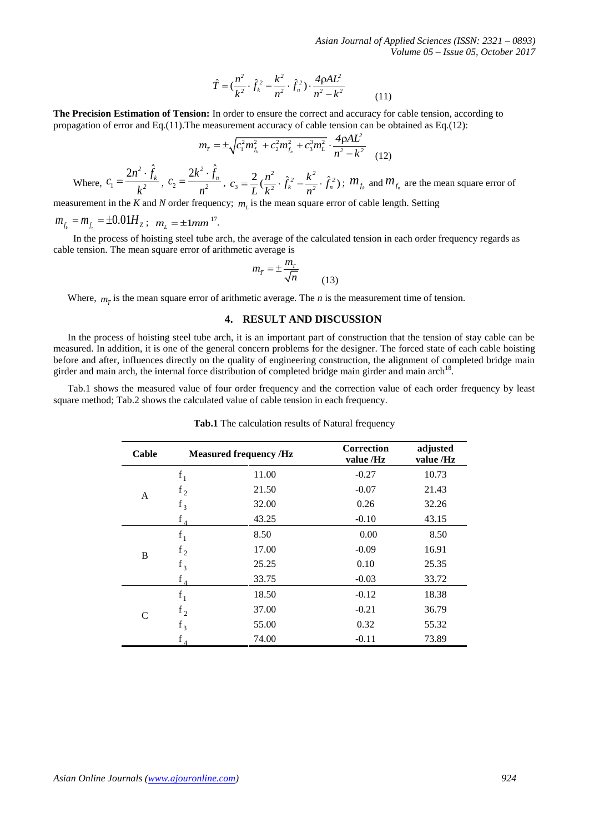$$
\hat{T} = (\frac{n^2}{k^2} \cdot \hat{f}_k^2 - \frac{k^2}{n^2} \cdot \hat{f}_n^2) \cdot \frac{4\rho A L^2}{n^2 - k^2}
$$
(11)

$$
m_{T} = \pm \sqrt{c_{1}^{2} m_{f_{k}}^{2} + c_{2}^{2} m_{f_{n}}^{2} + c_{3}^{3} m_{L}^{2}} \cdot \frac{4 \rho A L^{2}}{n^{2} - k^{2}}
$$
(12)

$$
m_{f_k} = m_{f_n} = \pm 0.01 H_z
$$
;  $m_L = \pm 1mm^{17}$ .

$$
m_{\overline{r}} = \pm \frac{m_r}{\sqrt{n}} \tag{13}
$$

## **4. RESULT AND DISCUSSION**

|                                                                                                                     |               |                         | Where, $c_1 = \frac{2n^2 \cdot \hat{f}_k}{k^2}$ , $c_2 = \frac{2k^2 \cdot \hat{f}_n}{n^2}$ , $c_3 = \frac{2}{L} (\frac{n^2}{k^2} \cdot \hat{f}_k^2 - \frac{k^2}{n^2} \cdot \hat{f}_n^2)$ ; $m_{f_k}$ and $m_{f_n}$ are the mean square error of                                                                          |                         |                       |
|---------------------------------------------------------------------------------------------------------------------|---------------|-------------------------|--------------------------------------------------------------------------------------------------------------------------------------------------------------------------------------------------------------------------------------------------------------------------------------------------------------------------|-------------------------|-----------------------|
|                                                                                                                     |               |                         | measurement in the K and N order frequency; $m_l$ is the mean square error of cable length. Setting                                                                                                                                                                                                                      |                         |                       |
| $m_{f_i} = m_{f_i} = \pm 0.01 H_z$ ; $m_L = \pm 1mm$ <sup>17</sup> .                                                |               |                         |                                                                                                                                                                                                                                                                                                                          |                         |                       |
|                                                                                                                     |               |                         | In the process of hoisting steel tube arch, the average of the calculated tension in each order frequency regards a<br>cable tension. The mean square error of arithmetic average is                                                                                                                                     |                         |                       |
|                                                                                                                     |               |                         |                                                                                                                                                                                                                                                                                                                          |                         |                       |
|                                                                                                                     |               |                         | $m_{\bar{T}} = \pm \frac{m_T}{\sqrt{n}}$ (13)                                                                                                                                                                                                                                                                            |                         |                       |
|                                                                                                                     |               |                         | Where, $m_{\overline{r}}$ is the mean square error of arithmetic average. The <i>n</i> is the measurement time of tension.                                                                                                                                                                                               |                         |                       |
|                                                                                                                     |               |                         | 4. RESULT AND DISCUSSION                                                                                                                                                                                                                                                                                                 |                         |                       |
|                                                                                                                     |               |                         |                                                                                                                                                                                                                                                                                                                          |                         |                       |
|                                                                                                                     |               |                         | girder and main arch, the internal force distribution of completed bridge main girder and main arch <sup>18</sup> .<br>Tab.1 shows the measured value of four order frequency and the correction value of each order frequency by<br>square method; Tab.2 shows the calculated value of cable tension in each frequency. |                         |                       |
| before and after, influences directly on the quality of engineering construction, the alignment of completed bridge |               |                         | Tab.1 The calculation results of Natural frequency                                                                                                                                                                                                                                                                       |                         |                       |
|                                                                                                                     | Cable         |                         | <b>Measured frequency /Hz</b>                                                                                                                                                                                                                                                                                            | Correction<br>value /Hz | adjusted<br>value /Hz |
|                                                                                                                     |               | $f_1$                   | 11.00                                                                                                                                                                                                                                                                                                                    | $-0.27$                 | 10.73                 |
|                                                                                                                     | A             |                         | 21.50                                                                                                                                                                                                                                                                                                                    | $-0.07$                 | 21.43                 |
|                                                                                                                     |               | $f_2$<br>$f_3$          | 32.00                                                                                                                                                                                                                                                                                                                    | 0.26                    | 32.26                 |
|                                                                                                                     |               | $f_A$                   | 43.25                                                                                                                                                                                                                                                                                                                    | $-0.10$                 | 43.15                 |
|                                                                                                                     |               | $\mathbf{f}_1$          | 8.50                                                                                                                                                                                                                                                                                                                     | 0.00                    | 8.50                  |
|                                                                                                                     | $\, {\bf B}$  | $f_2$                   | 17.00                                                                                                                                                                                                                                                                                                                    | $-0.09$                 | 16.91                 |
|                                                                                                                     |               | $f_3$                   | 25.25<br>33.75                                                                                                                                                                                                                                                                                                           | 0.10<br>$-0.03$         | 25.35<br>33.72        |
|                                                                                                                     |               | $f_4$                   | 18.50                                                                                                                                                                                                                                                                                                                    | $-0.12$                 | 18.38                 |
|                                                                                                                     |               | $f_1$                   | 37.00                                                                                                                                                                                                                                                                                                                    | $-0.21$                 | 36.79                 |
|                                                                                                                     | $\mathcal{C}$ | $\mathbf{f}_2$<br>$f_3$ | 55.00                                                                                                                                                                                                                                                                                                                    | 0.32                    | 55.32                 |

**Tab.1** The calculation results of Natural frequency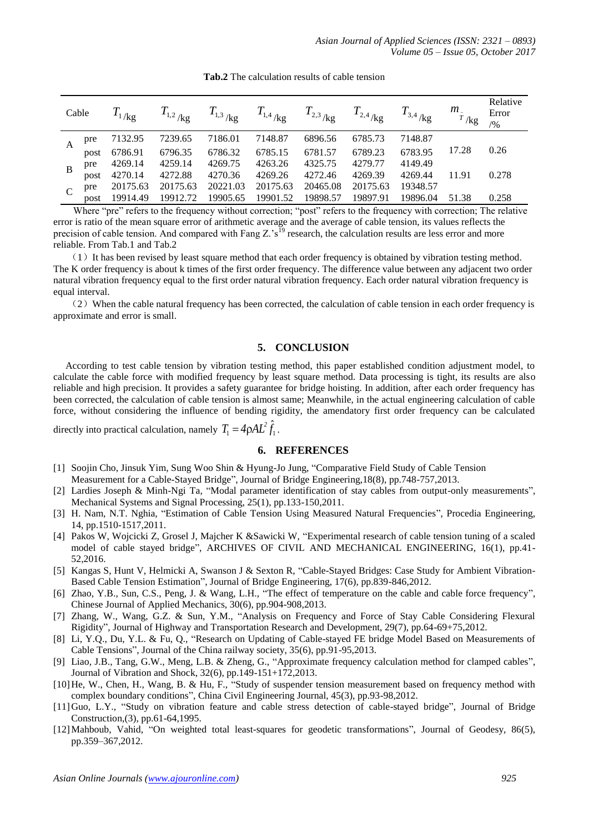| Cable |      | $T_{1/\text{kg}}$ | $T_{1,2}$ <sub>/kg</sub> | $T_{\rm 1,3}$ /kg |          | $T_{1,4}$ <sub>/kg</sub> $T_{2,3}$ <sub>/kg</sub> $T_{2,4}$ <sub>/kg</sub> $T_{3,4}$ <sub>/kg</sub> |          |          | $m_{\frac{1}{T}}$ <sub>/kg</sub> | Relative<br>Error<br>/9/0 |
|-------|------|-------------------|--------------------------|-------------------|----------|-----------------------------------------------------------------------------------------------------|----------|----------|----------------------------------|---------------------------|
|       | pre  | 7132.95           | 7239.65                  | 7186.01           | 7148.87  | 6896.56                                                                                             | 6785.73  | 7148.87  |                                  |                           |
|       | post | 6786.91           | 6796.35                  | 6786.32           | 6785.15  | 6781.57                                                                                             | 6789.23  | 6783.95  | 17.28                            | 0.26                      |
|       | pre  | 4269.14           | 4259.14                  | 4269.75           | 4263.26  | 4325.75                                                                                             | 4279.77  | 4149.49  |                                  |                           |
|       | post | 4270.14           | 4272.88                  | 4270.36           | 4269.26  | 4272.46                                                                                             | 4269.39  | 4269.44  | 11.91                            | 0.278                     |
|       | pre  | 20175.63          | 20175.63                 | 20221.03          | 20175.63 | 20465.08                                                                                            | 20175.63 | 19348.57 |                                  |                           |
|       | post | 19914.49          | 19912.72                 | 19905.65          | 19901.52 | 19898.57                                                                                            | 19897.91 | 19896.04 | 51.38                            | 0.258                     |

**Tab.2** The calculation results of cable tension

Where "pre" refers to the frequency without correction; "post" refers to the frequency with correction; The relative error is ratio of the mean square error of arithmetic average and the average of cable tension, its values reflects the precision of cable tension. And compared with Fang  $Z.^{s}S^{(1)}$  research, the calculation results are less error and more reliable. From Tab.1 and Tab.2

(1) It has been revised by least square method that each order frequency is obtained by vibration testing method. The K order frequency is about k times of the first order frequency. The difference value between any adjacent two order natural vibration frequency equal to the first order natural vibration frequency. Each order natural vibration frequency is equal interval.

(2)When the cable natural frequency has been corrected, the calculation of cable tension in each order frequency is approximate and error is small.

#### **5. CONCLUSION**

According to test cable tension by vibration testing method, this paper established condition adjustment model, to calculate the cable force with modified frequency by least square method. Data processing is tight, its results are also reliable and high precision. It provides a safety guarantee for bridge hoisting. In addition, after each order frequency has been corrected, the calculation of cable tension is almost same; Meanwhile, in the actual engineering calculation of cable force, without considering the influence of bending rigidity, the amendatory first order frequency can be calculated

directly into practical calculation, namely  $T_1 = 4 \rho A L^2 f_1$  $T_1 = 4 \rho A L^2 \hat{f}_1$ .

## **6. REFERENCES**

- [1] Soojin Cho, Jinsuk Yim, Sung Woo Shin & Hyung-Jo Jung, "Comparative Field Study of Cable Tension Measurement for a Cable-Stayed Bridge", Journal of Bridge Engineering,18(8), pp.748-757,2013.
- [2] Lardies Joseph & Minh-Ngi Ta, "Modal parameter identification of stay cables from output-only measurements", Mechanical Systems and Signal Processing, 25(1), pp.133-150,2011.
- [3] H. Nam, N.T. Nghia, "Estimation of Cable Tension Using Measured Natural Frequencies", Procedia Engineering, 14, pp.1510-1517,2011.
- [4] Pakos W, Wojcicki Z, Grosel J, Majcher K &Sawicki W, "Experimental research of cable tension tuning of a scaled model of cable stayed bridge", ARCHIVES OF CIVIL AND MECHANICAL ENGINEERING, 16(1), pp.41- 52,2016.
- [5] Kangas S, Hunt V, Helmicki A, Swanson J & Sexton R, "Cable-Stayed Bridges: Case Study for Ambient Vibration-Based Cable Tension Estimation", Journal of Bridge Engineering, 17(6), pp.839-846,2012.
- [6] Zhao, Y.B., Sun, C.S., Peng, J. & Wang, L.H., "The effect of temperature on the cable and cable force frequency", Chinese Journal of Applied Mechanics, 30(6), pp.904-908,2013.
- [7] Zhang, W., Wang, G.Z. & Sun, Y.M., "Analysis on Frequency and Force of Stay Cable Considering Flexural Rigidity", Journal of Highway and Transportation Research and Development, 29(7), pp.64-69+75,2012.
- [8] Li, Y.Q., Du, Y.L. & Fu, Q., "Research on Updating of Cable-stayed FE bridge Model Based on Measurements of Cable Tensions", Journal of the China railway society, 35(6), pp.91-95,2013.
- [9] Liao, J.B., Tang, G.W., Meng, L.B. & Zheng, G., "Approximate frequency calculation method for clamped cables", Journal of Vibration and Shock, 32(6), pp.149-151+172,2013.
- [10]He, W., Chen, H., Wang, B. & Hu, F., "Study of suspender tension measurement based on frequency method with complex boundary conditions", China Civil Engineering Journal, 45(3), pp.93-98,2012.
- [11]Guo, L.Y., "Study on vibration feature and cable stress detection of cable-stayed bridge", Journal of Bridge Construction,(3), pp.61-64,1995.
- [12]Mahboub, Vahid, "On weighted total least-squares for geodetic transformations", Journal of Geodesy, 86(5), pp.359–367,2012.